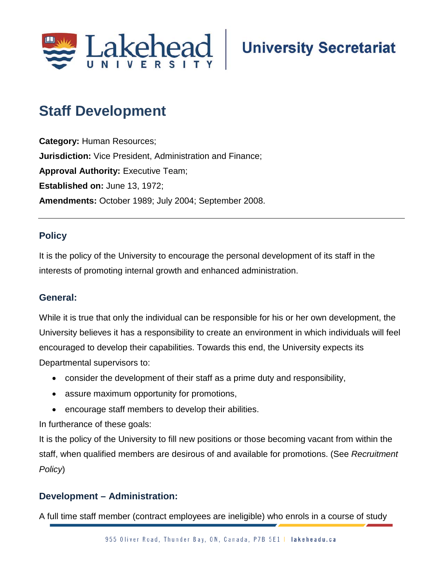

## **Staff Development;**

**Category:** Human Resources; **Jurisdiction:** Vice President, Administration and Finance; **Approval Authority: Executive Team; Established on:** June 13, 1972; **Amendments:** October 1989; July 2004; September 2008.

## **Policy**

It is the policy of the University to encourage the personal development of its staff in the interests of promoting internal growth and enhanced administration.

## **General:**

While it is true that only the individual can be responsible for his or her own development, the University believes it has a responsibility to create an environment in which individuals will feel encouraged to develop their capabilities. Towards this end, the University expects its Departmental supervisors to:

- consider the development of their staff as a prime duty and responsibility,
- assure maximum opportunity for promotions,
- encourage staff members to develop their abilities.

In furtherance of these goals:

It is the policy of the University to fill new positions or those becoming vacant from within the staff, when qualified members are desirous of and available for promotions. (See *Recruitment Policy*)

## **Development – Administration:**

A full time staff member (contract employees are ineligible) who enrols in a course of study